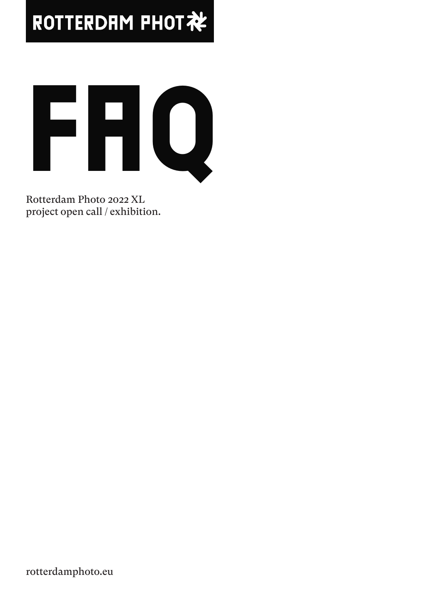# ROTTERDAM PHOT社



Rotterdam Photo 2022 XL project open call / exhibition.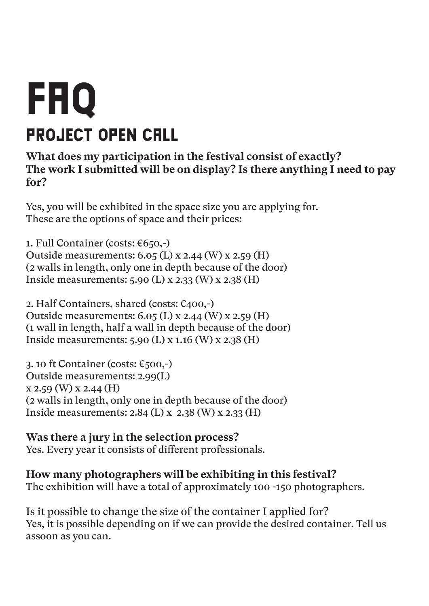# FHQ project open call

#### **What does my participation in the festival consist of exactly? The work I submitted will be on display? Is there anything I need to pay for?**

Yes, you will be exhibited in the space size you are applying for. These are the options of space and their prices:

1. Full Container (costs:  $\epsilon$ 650,-) Outside measurements: 6.05 (L) x 2.44 (W) x 2.59 (H) (2 walls in length, only one in depth because of the door) Inside measurements: 5.90 (L) x 2.33 (W) x 2.38 (H)

2. Half Containers, shared (costs: €400,-) Outside measurements: 6.05 (L) x 2.44 (W) x 2.59 (H) (1 wall in length, half a wall in depth because of the door) Inside measurements: 5.90 (L) x 1.16 (W) x 2.38 (H)

3. 10 ft Container (costs:  $\epsilon$ 500,-) Outside measurements: 2.99(L) x 2.59 (W) x 2.44 (H) (2 walls in length, only one in depth because of the door) Inside measurements: 2.84 (L) x 2.38 (W) x 2.33 (H)

**Was there a jury in the selection process?** Yes. Every year it consists of different professionals.

**How many photographers will be exhibiting in this festival?** The exhibition will have a total of approximately 100 -150 photographers.

Is it possible to change the size of the container I applied for? Yes, it is possible depending on if we can provide the desired container. Tell us assoon as you can.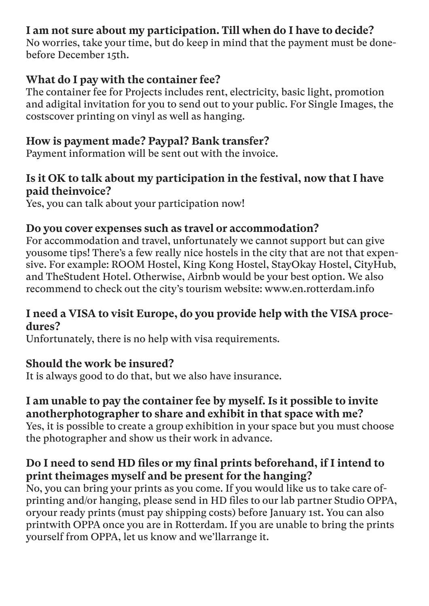### **I am not sure about my participation. Till when do I have to decide?**

No worries, take your time, but do keep in mind that the payment must be donebefore December 15th.

#### **What do I pay with the container fee?**

The container fee for Projects includes rent, electricity, basic light, promotion and adigital invitation for you to send out to your public. For Single Images, the costscover printing on vinyl as well as hanging.

#### **How is payment made? Paypal? Bank transfer?**

Payment information will be sent out with the invoice.

#### **Is it OK to talk about my participation in the festival, now that I have paid theinvoice?**

Yes, you can talk about your participation now!

### **Do you cover expenses such as travel or accommodation?**

For accommodation and travel, unfortunately we cannot support but can give yousome tips! There's a few really nice hostels in the city that are not that expensive. For example: ROOM Hostel, King Kong Hostel, StayOkay Hostel, CityHub, and TheStudent Hotel. Otherwise, Airbnb would be your best option. We also recommend to check out the city's tourism website: www.en.rotterdam.info

#### **I need a VISA to visit Europe, do you provide help with the VISA procedures?**

Unfortunately, there is no help with visa requirements.

### **Should the work be insured?**

It is always good to do that, but we also have insurance.

#### **I am unable to pay the container fee by myself. Is it possible to invite anotherphotographer to share and exhibit in that space with me?**

Yes, it is possible to create a group exhibition in your space but you must choose the photographer and show us their work in advance.

# **Do I need to send HD files or my final prints beforehand, if I intend to print theimages myself and be present for the hanging?**

No, you can bring your prints as you come. If you would like us to take care ofprinting and/or hanging, please send in HD files to our lab partner Studio OPPA, oryour ready prints (must pay shipping costs) before January 1st. You can also printwith OPPA once you are in Rotterdam. If you are unable to bring the prints yourself from OPPA, let us know and we'llarrange it.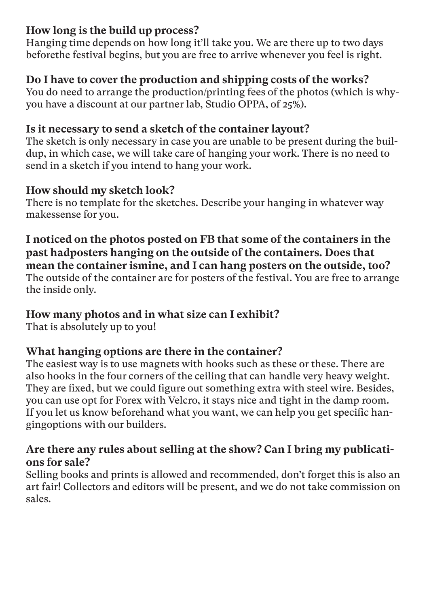### **How long is the build up process?**

Hanging time depends on how long it'll take you. We are there up to two days beforethe festival begins, but you are free to arrive whenever you feel is right.

#### **Do I have to cover the production and shipping costs of the works?**

You do need to arrange the production/printing fees of the photos (which is whyyou have a discount at our partner lab, Studio OPPA, of 25%).

## **Is it necessary to send a sketch of the container layout?**

The sketch is only necessary in case you are unable to be present during the buildup, in which case, we will take care of hanging your work. There is no need to send in a sketch if you intend to hang your work.

# **How should my sketch look?**

There is no template for the sketches. Describe your hanging in whatever way makessense for you.

**I noticed on the photos posted on FB that some of the containers in the past hadposters hanging on the outside of the containers. Does that mean the container ismine, and I can hang posters on the outside, too?** The outside of the container are for posters of the festival. You are free to arrange the inside only.

### **How many photos and in what size can I exhibit?**

That is absolutely up to you!

# **What hanging options are there in the container?**

The easiest way is to use magnets with hooks such as these or these. There are also hooks in the four corners of the ceiling that can handle very heavy weight. They are fixed, but we could figure out something extra with steel wire. Besides, you can use opt for Forex with Velcro, it stays nice and tight in the damp room. If you let us know beforehand what you want, we can help you get specific hangingoptions with our builders.

### **Are there any rules about selling at the show? Can I bring my publications for sale?**

Selling books and prints is allowed and recommended, don't forget this is also an art fair! Collectors and editors will be present, and we do not take commission on sales.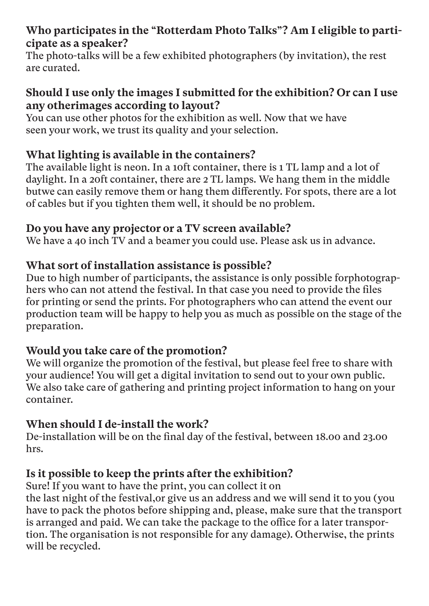### **Who participates in the "Rotterdam Photo Talks"? Am I eligible to participate as a speaker?**

The photo-talks will be a few exhibited photographers (by invitation), the rest are curated.

#### **Should I use only the images I submitted for the exhibition? Or can I use any otherimages according to layout?**

You can use other photos for the exhibition as well. Now that we have seen your work, we trust its quality and your selection.

### **What lighting is available in the containers?**

The available light is neon. In a 10ft container, there is 1 TL lamp and a lot of daylight. In a 20ft container, there are 2 TL lamps. We hang them in the middle butwe can easily remove them or hang them differently. For spots, there are a lot of cables but if you tighten them well, it should be no problem.

#### **Do you have any projector or a TV screen available?**

We have a 40 inch TV and a beamer you could use. Please ask us in advance.

### **What sort of installation assistance is possible?**

Due to high number of participants, the assistance is only possible forphotographers who can not attend the festival. In that case you need to provide the files for printing or send the prints. For photographers who can attend the event our production team will be happy to help you as much as possible on the stage of the preparation.

# **Would you take care of the promotion?**

We will organize the promotion of the festival, but please feel free to share with your audience! You will get a digital invitation to send out to your own public. We also take care of gathering and printing project information to hang on your container.

### **When should I de-install the work?**

De-installation will be on the final day of the festival, between 18.00 and 23.00 hrs.

# **Is it possible to keep the prints after the exhibition?**

Sure! If you want to have the print, you can collect it on the last night of the festival,or give us an address and we will send it to you (you have to pack the photos before shipping and, please, make sure that the transport is arranged and paid. We can take the package to the office for a later transportion. The organisation is not responsible for any damage). Otherwise, the prints will be recycled.